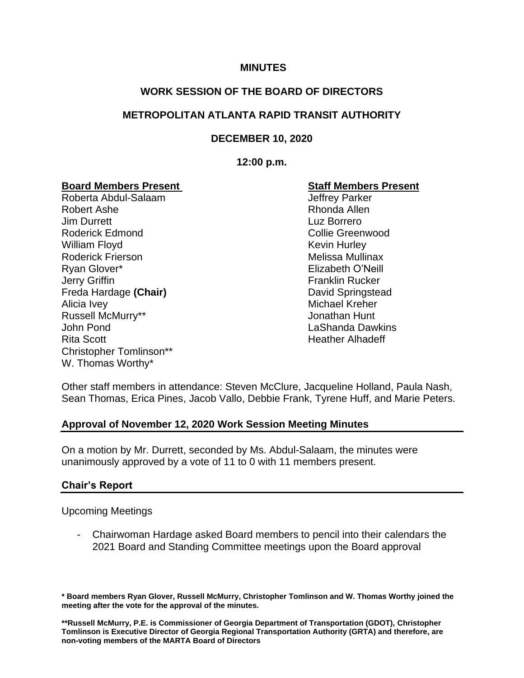#### **MINUTES**

# **WORK SESSION OF THE BOARD OF DIRECTORS**

# **METROPOLITAN ATLANTA RAPID TRANSIT AUTHORITY**

# **DECEMBER 10, 2020**

#### **12:00 p.m.**

# **Board Members Present Staff Members Present**

Roberta Abdul-Salaam Jeffrey Parker Robert Ashe **Rhonda Allen Jim Durrett** Luz Borrero Roderick Edmond Collie Greenwood William Floyd **Kevin Hurley** Roderick Frierson **Melissa Mullinax** Melissa Mullinax Ryan Glover\* Elizabeth O'Neill **Jerry Griffin Franklin Rucker** Freda Hardage **(Chair)** David Springstead Alicia Ivey **Michael Kreher** Michael Kreher Russell McMurry\*\* The Constantine of the United States of Australian Hunt John Pond LaShanda Dawkins Rita Scott **Heather Alhadeff** Heather Alhadeff Christopher Tomlinson\*\* W. Thomas Worthy\*

Other staff members in attendance: Steven McClure, Jacqueline Holland, Paula Nash, Sean Thomas, Erica Pines, Jacob Vallo, Debbie Frank, Tyrene Huff, and Marie Peters.

#### **Approval of November 12, 2020 Work Session Meeting Minutes**

On a motion by Mr. Durrett, seconded by Ms. Abdul-Salaam, the minutes were unanimously approved by a vote of 11 to 0 with 11 members present.

#### **Chair's Report**

Upcoming Meetings

- Chairwoman Hardage asked Board members to pencil into their calendars the 2021 Board and Standing Committee meetings upon the Board approval

**\* Board members Ryan Glover, Russell McMurry, Christopher Tomlinson and W. Thomas Worthy joined the meeting after the vote for the approval of the minutes.** 

**\*\*Russell McMurry, P.E. is Commissioner of Georgia Department of Transportation (GDOT), Christopher Tomlinson is Executive Director of Georgia Regional Transportation Authority (GRTA) and therefore, are non-voting members of the MARTA Board of Directors**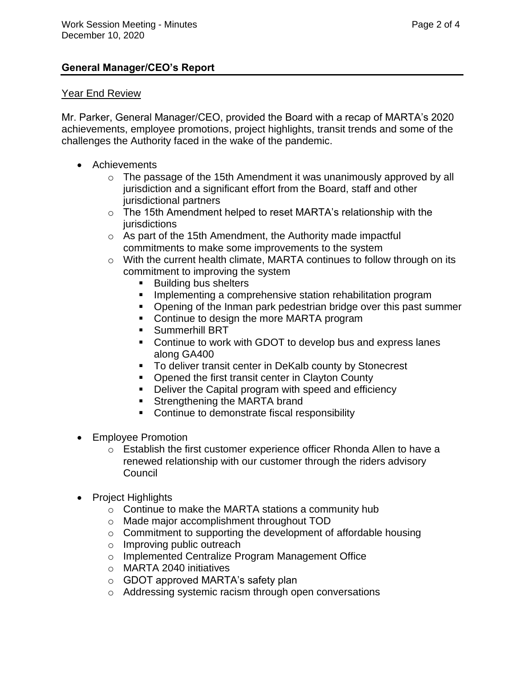# **General Manager/CEO's Report**

#### Year End Review

Mr. Parker, General Manager/CEO, provided the Board with a recap of MARTA's 2020 achievements, employee promotions, project highlights, transit trends and some of the challenges the Authority faced in the wake of the pandemic.

- Achievements
	- o The passage of the 15th Amendment it was unanimously approved by all jurisdiction and a significant effort from the Board, staff and other jurisdictional partners
	- o The 15th Amendment helped to reset MARTA's relationship with the jurisdictions
	- o As part of the 15th Amendment, the Authority made impactful commitments to make some improvements to the system
	- o With the current health climate, MARTA continues to follow through on its commitment to improving the system
		- **Building bus shelters**
		- **EXEDENTIFY Implementing a comprehensive station rehabilitation program**
		- Opening of the Inman park pedestrian bridge over this past summer
		- Continue to design the more MARTA program
		- **•** Summerhill BRT
		- Continue to work with GDOT to develop bus and express lanes along GA400
		- To deliver transit center in DeKalb county by Stonecrest
		- Opened the first transit center in Clayton County
		- Deliver the Capital program with speed and efficiency
		- Strengthening the MARTA brand
		- Continue to demonstrate fiscal responsibility
- Employee Promotion
	- o Establish the first customer experience officer Rhonda Allen to have a renewed relationship with our customer through the riders advisory Council
- Project Highlights
	- o Continue to make the MARTA stations a community hub
	- o Made major accomplishment throughout TOD
	- o Commitment to supporting the development of affordable housing
	- o Improving public outreach
	- o Implemented Centralize Program Management Office
	- o MARTA 2040 initiatives
	- o GDOT approved MARTA's safety plan
	- o Addressing systemic racism through open conversations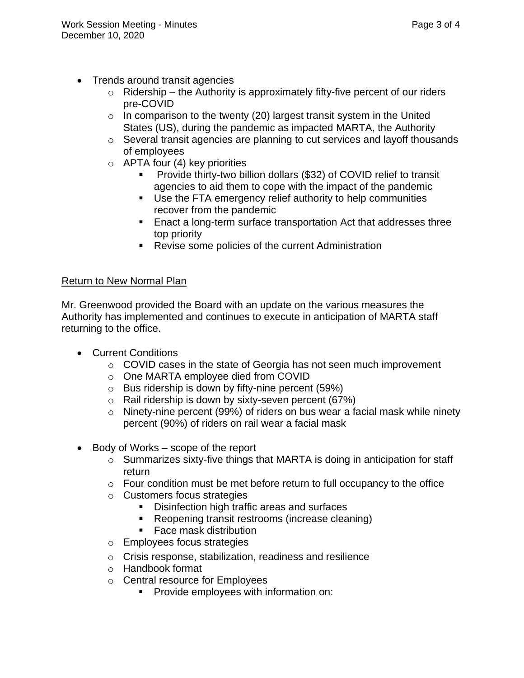- Trends around transit agencies
	- $\circ$  Ridership the Authority is approximately fifty-five percent of our riders pre-COVID
	- $\circ$  In comparison to the twenty (20) largest transit system in the United States (US), during the pandemic as impacted MARTA, the Authority
	- o Several transit agencies are planning to cut services and layoff thousands of employees
	- $\circ$  APTA four (4) key priorities
		- Provide thirty-two billion dollars (\$32) of COVID relief to transit agencies to aid them to cope with the impact of the pandemic
		- Use the FTA emergency relief authority to help communities recover from the pandemic
		- Enact a long-term surface transportation Act that addresses three top priority
		- Revise some policies of the current Administration

# Return to New Normal Plan

Mr. Greenwood provided the Board with an update on the various measures the Authority has implemented and continues to execute in anticipation of MARTA staff returning to the office.

- Current Conditions
	- $\circ$  COVID cases in the state of Georgia has not seen much improvement
	- o One MARTA employee died from COVID
	- $\circ$  Bus ridership is down by fifty-nine percent (59%)
	- $\circ$  Rail ridership is down by sixty-seven percent (67%)
	- o Ninety-nine percent (99%) of riders on bus wear a facial mask while ninety percent (90%) of riders on rail wear a facial mask
- Body of Works scope of the report
	- o Summarizes sixty-five things that MARTA is doing in anticipation for staff return
	- o Four condition must be met before return to full occupancy to the office
	- o Customers focus strategies
		- Disinfection high traffic areas and surfaces
		- Reopening transit restrooms (increase cleaning)
		- Face mask distribution
	- o Employees focus strategies
	- o Crisis response, stabilization, readiness and resilience
	- o Handbook format
	- o Central resource for Employees
		- **•** Provide employees with information on: